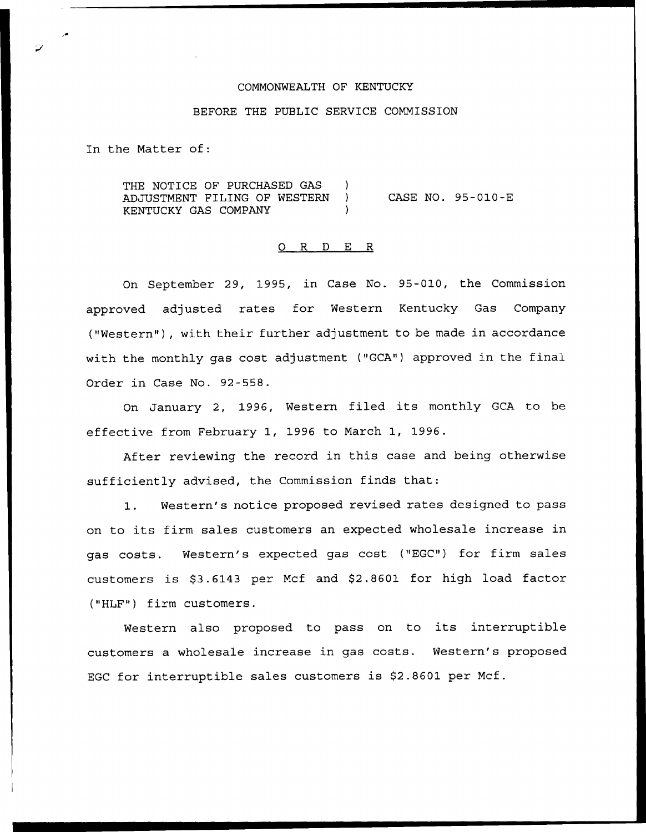#### COMMONWEALTH OF KENTUCKY

# BEFORE THE PUBLIC SERVICE COMMISSION

In the Matter of:

THE NOTICE OF PURCHASED GAS ) ADJUSTMENT FILING OF WESTERN ) KENTUCKY GAS COMPANY (1997) CASE NO. 95-010-E

### 0 R <sup>D</sup> E R

On September 29, 1995, in Case No. 95-010, the Commission approved adjusted rates for Western Kentucky Gas Company ("Western"), with their further adjustment to be made in accordance with the monthly gas cost adjustment ("GCA") approved in the final Order in Case No. 92-558.

On January 2, 1996, Western filed its monthly GCA to be effective from February 1, 1996 to March 1, 1996.

After reviewing the record in this case and being otherwise sufficiently advised, the Commission finds that:

1. Western's notice proposed revised rates designed to pass on to its firm sales customers an expected wholesale increase in gas costs. Western's expected gas cost ("EGC") for firm sales customers is \$3.6143 per Mcf and \$2.8601 for high load factor ("HLF") firm customers.

Western also proposed to pass on to its interruptible customers a wholesale increase in gas costs. Western's proposed EGC for interruptible sales customers is \$2.8601 per Mcf.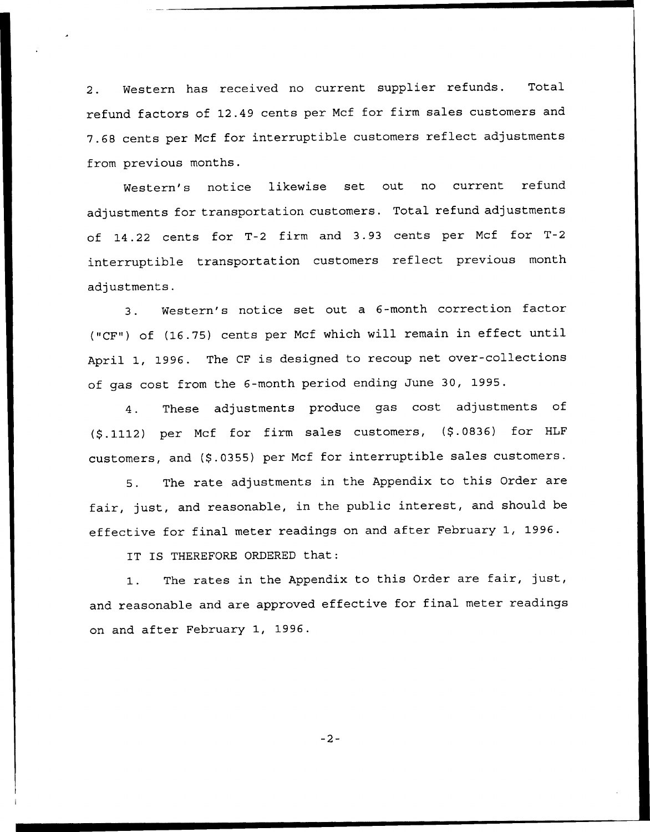2. Western has received no current supplier refunds. Total refund factors of 12.49 cents per Ncf for firm sales customers and 7.68 cents per Mcf for interruptible customers reflect adjustments from previous months.

Western's notice likewise set out no current refund adjustments for transportation customers. Total refund adjustments of 14.22 cents for T-2 firm and 3.93 cents per Mcf for T-2 interruptible transportation customers reflect previous month adjustments.

3. Western's notice set out <sup>a</sup> 6-month correction factor ("CF") of (16.75) cents per Ncf which will remain in effect until April 1, 1996. The CF is designed to recoup net over-collections of gas cost from the 6-month period ending June 30, 1995.

4. These adjustments produce gas cost adjustments of (\$.1112) per Mcf for firm sales customers, (\$.0836) for HLF customers, and (\$.0355) per Mcf for interruptible sales customers.

5. The rate adjustments in the Appendix to this Order are fair, just, and reasonable, in the public interest, and should be effective for final meter readings on and after February 1, 1996.

IT IS THEREFORE ORDERED that:

1. The rates in the Appendix to this Order are fair, just, and reasonable and are approved effective for final meter readings on and after February 1, 1996.

 $-2-$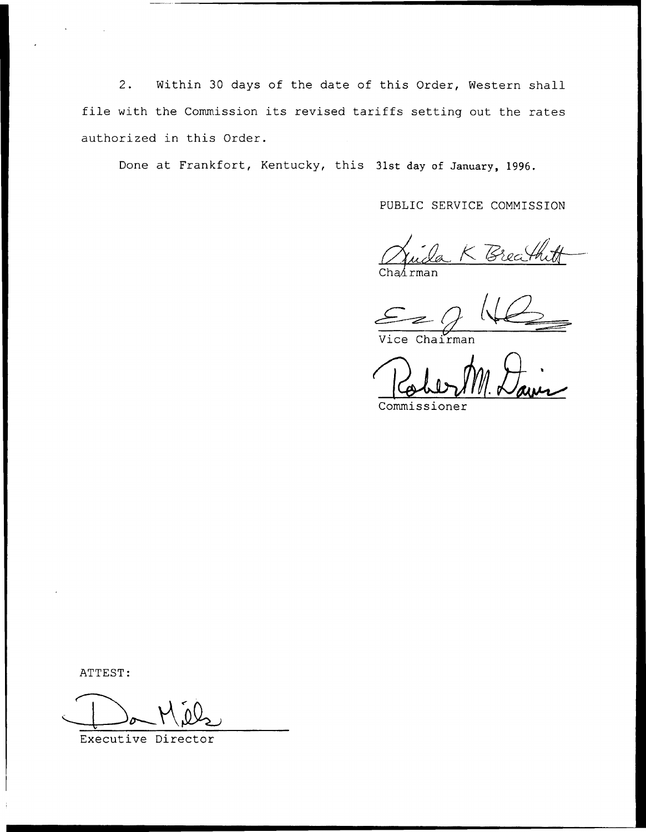2. Within 30 days of the date of this Order, Western shall file with the Commission its revised tariffs setting out the rates authorized in this Order.

Done at Frankfort, Kentucky, this 31st day of January, 1996.

PUBLIC SERVICE COMMISSION

 $Chafrman$ 

Vice Chairman

Commissioner

ATTEST:

Executive Director